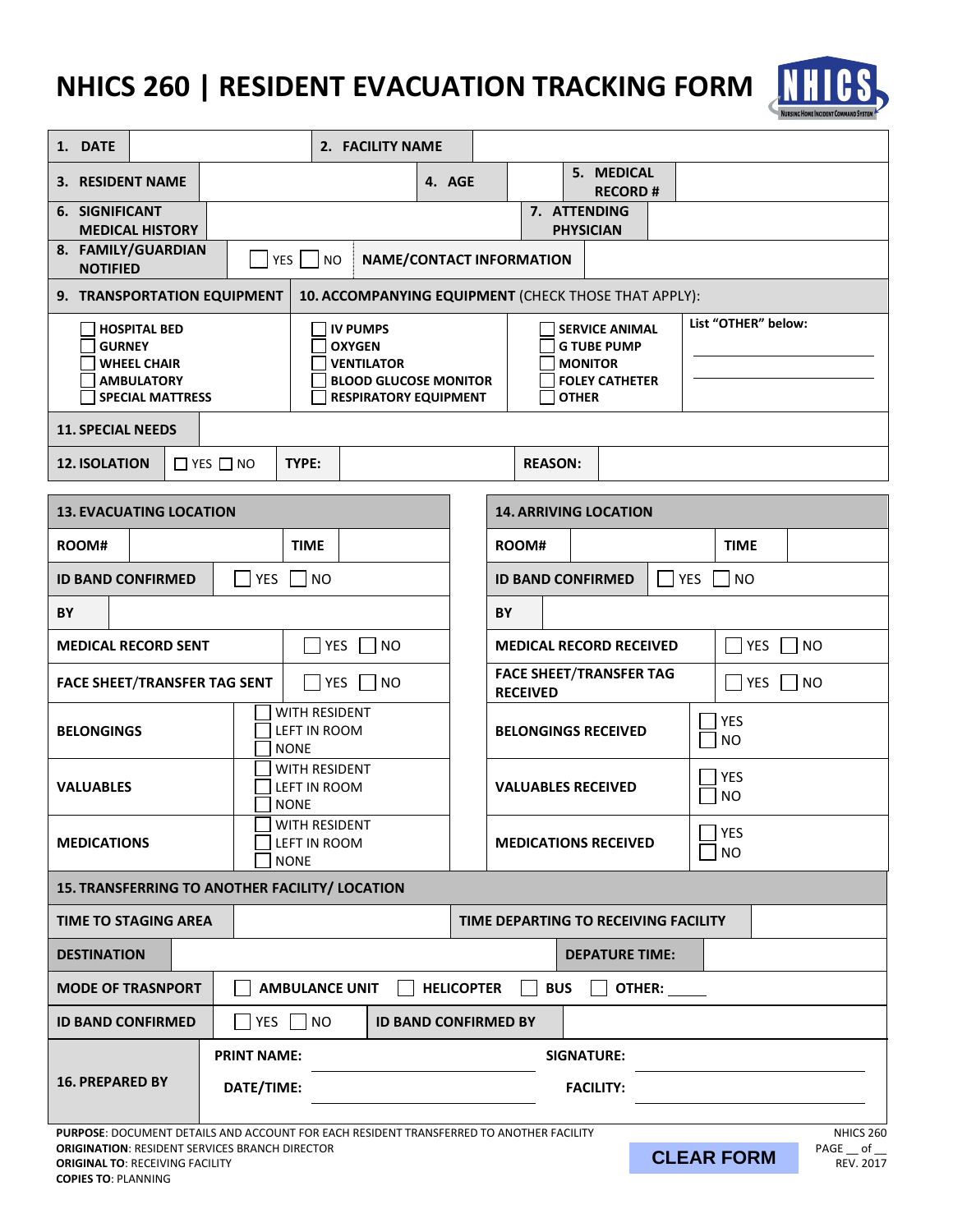## **NHICS 260 | RESIDENT EVACUATION TRACKING FORM**



| 1. DATE                                                                                                                                                                                                                                                    |  |            |                                                                                                                       | 2. FACILITY NAME |                                                            |                                                                                                        |                  |              |                              |                         |           |             |  |
|------------------------------------------------------------------------------------------------------------------------------------------------------------------------------------------------------------------------------------------------------------|--|------------|-----------------------------------------------------------------------------------------------------------------------|------------------|------------------------------------------------------------|--------------------------------------------------------------------------------------------------------|------------------|--------------|------------------------------|-------------------------|-----------|-------------|--|
| 3. RESIDENT NAME                                                                                                                                                                                                                                           |  |            |                                                                                                                       |                  | 4. AGE                                                     |                                                                                                        |                  |              | 5. MEDICAL<br><b>RECORD#</b> |                         |           |             |  |
| 6. SIGNIFICANT                                                                                                                                                                                                                                             |  |            |                                                                                                                       |                  |                                                            |                                                                                                        |                  | 7. ATTENDING |                              |                         |           |             |  |
| <b>MEDICAL HISTORY</b>                                                                                                                                                                                                                                     |  |            |                                                                                                                       |                  |                                                            |                                                                                                        | <b>PHYSICIAN</b> |              |                              |                         |           |             |  |
| 8. FAMILY/GUARDIAN<br><b>NOTIFIED</b>                                                                                                                                                                                                                      |  |            | $YES$    <br><b>NO</b>                                                                                                |                  |                                                            | <b>NAME/CONTACT INFORMATION</b>                                                                        |                  |              |                              |                         |           |             |  |
| 9. TRANSPORTATION EQUIPMENT                                                                                                                                                                                                                                |  |            |                                                                                                                       |                  |                                                            | 10. ACCOMPANYING EQUIPMENT (CHECK THOSE THAT APPLY):                                                   |                  |              |                              |                         |           |             |  |
| <b>HOSPITAL BED</b><br><b>GURNEY</b><br><b>WHEEL CHAIR</b><br><b>AMBULATORY</b><br><b>SPECIAL MATTRESS</b>                                                                                                                                                 |  |            | <b>IV PUMPS</b><br><b>OXYGEN</b><br><b>VENTILATOR</b><br><b>BLOOD GLUCOSE MONITOR</b><br><b>RESPIRATORY EQUIPMENT</b> |                  |                                                            | <b>SERVICE ANIMAL</b><br><b>G TUBE PUMP</b><br><b>MONITOR</b><br><b>FOLEY CATHETER</b><br><b>OTHER</b> |                  |              |                              | List "OTHER" below:     |           |             |  |
| <b>11. SPECIAL NEEDS</b>                                                                                                                                                                                                                                   |  |            |                                                                                                                       |                  |                                                            |                                                                                                        |                  |              |                              |                         |           |             |  |
| <b>12. ISOLATION</b><br>$\Box$ YES $\Box$ NO<br>TYPE:<br><b>REASON:</b>                                                                                                                                                                                    |  |            |                                                                                                                       |                  |                                                            |                                                                                                        |                  |              |                              |                         |           |             |  |
| <b>13. EVACUATING LOCATION</b><br><b>14. ARRIVING LOCATION</b>                                                                                                                                                                                             |  |            |                                                                                                                       |                  |                                                            |                                                                                                        |                  |              |                              |                         |           |             |  |
| ROOM#                                                                                                                                                                                                                                                      |  |            | <b>TIME</b>                                                                                                           |                  |                                                            |                                                                                                        | ROOM#            |              |                              |                         |           | <b>TIME</b> |  |
| <b>ID BAND CONFIRMED</b><br>YES<br><b>NO</b>                                                                                                                                                                                                               |  |            |                                                                                                                       |                  | <b>NO</b><br><b>ID BAND CONFIRMED</b><br><b>YES</b>        |                                                                                                        |                  |              |                              |                         |           |             |  |
| BY<br>BY                                                                                                                                                                                                                                                   |  |            |                                                                                                                       |                  |                                                            |                                                                                                        |                  |              |                              |                         |           |             |  |
| YES  <br><b>NO</b><br><b>MEDICAL RECORD SENT</b>                                                                                                                                                                                                           |  |            |                                                                                                                       |                  | YES<br><b>MEDICAL RECORD RECEIVED</b>                      |                                                                                                        |                  |              |                              |                         | <b>NO</b> |             |  |
| <b>YES</b><br><b>NO</b><br><b>FACE SHEET/TRANSFER TAG SENT</b>                                                                                                                                                                                             |  |            |                                                                                                                       |                  | <b>FACE SHEET/TRANSFER TAG</b><br>  YES<br><b>RECEIVED</b> |                                                                                                        |                  |              |                              | <b>NO</b>               |           |             |  |
| <b>BELONGINGS</b>                                                                                                                                                                                                                                          |  |            | WITH RESIDENT<br>LEFT IN ROOM<br><b>NONE</b>                                                                          |                  |                                                            | <b>BELONGINGS RECEIVED</b>                                                                             |                  |              |                              | <b>YES</b><br><b>NO</b> |           |             |  |
| <b>VALUABLES</b>                                                                                                                                                                                                                                           |  |            | WITH RESIDENT<br>LEFT IN ROOM<br><b>NONE</b>                                                                          |                  |                                                            | <b>VALUABLES RECEIVED</b>                                                                              |                  |              |                              | YES<br><b>NO</b>        |           |             |  |
| <b>MEDICATIONS</b>                                                                                                                                                                                                                                         |  |            | WITH RESIDENT<br>LEFT IN ROOM<br><b>NONE</b>                                                                          |                  |                                                            | <b>MEDICATIONS RECEIVED</b>                                                                            |                  |              |                              | YES<br><b>NO</b>        |           |             |  |
| 15. TRANSFERRING TO ANOTHER FACILITY/ LOCATION                                                                                                                                                                                                             |  |            |                                                                                                                       |                  |                                                            |                                                                                                        |                  |              |                              |                         |           |             |  |
| <b>TIME TO STAGING AREA</b>                                                                                                                                                                                                                                |  |            |                                                                                                                       |                  |                                                            | TIME DEPARTING TO RECEIVING FACILITY                                                                   |                  |              |                              |                         |           |             |  |
| <b>DESTINATION</b>                                                                                                                                                                                                                                         |  |            |                                                                                                                       |                  |                                                            |                                                                                                        |                  |              | <b>DEPATURE TIME:</b>        |                         |           |             |  |
| <b>HELICOPTER</b><br><b>BUS</b><br><b>MODE OF TRASNPORT</b><br><b>AMBULANCE UNIT</b><br>OTHER:                                                                                                                                                             |  |            |                                                                                                                       |                  |                                                            |                                                                                                        |                  |              |                              |                         |           |             |  |
| YES   NO<br><b>ID BAND CONFIRMED</b><br><b>ID BAND CONFIRMED BY</b>                                                                                                                                                                                        |  |            |                                                                                                                       |                  |                                                            |                                                                                                        |                  |              |                              |                         |           |             |  |
| <b>PRINT NAME:</b>                                                                                                                                                                                                                                         |  |            |                                                                                                                       |                  |                                                            | <b>SIGNATURE:</b>                                                                                      |                  |              |                              |                         |           |             |  |
| <b>16. PREPARED BY</b>                                                                                                                                                                                                                                     |  | DATE/TIME: |                                                                                                                       |                  |                                                            | <b>FACILITY:</b>                                                                                       |                  |              |                              |                         |           |             |  |
| PURPOSE: DOCUMENT DETAILS AND ACCOUNT FOR EACH RESIDENT TRANSFERRED TO ANOTHER FACILITY<br>NHICS 260<br><b>ORIGINATION: RESIDENT SERVICES BRANCH DIRECTOR</b><br>PAGE __ of __<br><b>CLEAR FORM</b><br>REV. 2017<br><b>ORIGINAL TO: RECEIVING FACILITY</b> |  |            |                                                                                                                       |                  |                                                            |                                                                                                        |                  |              |                              |                         |           |             |  |